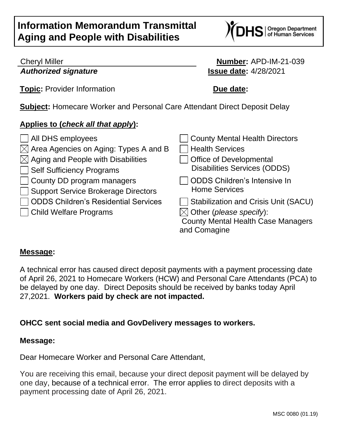# **Information Memorandum Transmittal Aging and People with Disabilities**



### Cheryl Miller **Number:** APD-IM-21-039 *Authorized signature* **Issue date:** 4/28/2021

**Topic:** Provider Information **Due date:** 

**Subject:** Homecare Worker and Personal Care Attendant Direct Deposit Delay

# **Applies to (***check all that apply***):**

| All DHS employees                                 | <b>County Mental Health Directors</b>       |
|---------------------------------------------------|---------------------------------------------|
| $\boxtimes$ Area Agencies on Aging: Types A and B | <b>Health Services</b>                      |
| $\boxtimes$ Aging and People with Disabilities    | <b>Office of Developmental</b>              |
| Self Sufficiency Programs                         | <b>Disabilities Services (ODDS)</b>         |
| County DD program managers                        | <b>ODDS Children's Intensive In</b>         |
| Support Service Brokerage Directors               | <b>Home Services</b>                        |
| <b>ODDS Children's Residential Services</b>       | <b>Stabilization and Crisis Unit (SACU)</b> |
| Child Welfare Programs                            | $\boxtimes$ Other (please specify):         |
|                                                   | <b>County Mental Health Case Managers</b>   |
|                                                   | and Comagine                                |

#### **Message:**

A technical error has caused direct deposit payments with a payment processing date of April 26, 2021 to Homecare Workers (HCW) and Personal Care Attendants (PCA) to be delayed by one day. Direct Deposits should be received by banks today April 27,2021. **Workers paid by check are not impacted.**

## **OHCC sent social media and GovDelivery messages to workers.**

#### **Message:**

Dear Homecare Worker and Personal Care Attendant,

You are receiving this email, because your direct deposit payment will be delayed by one day, because of a technical error. The error applies to direct deposits with a payment processing date of April 26, 2021.